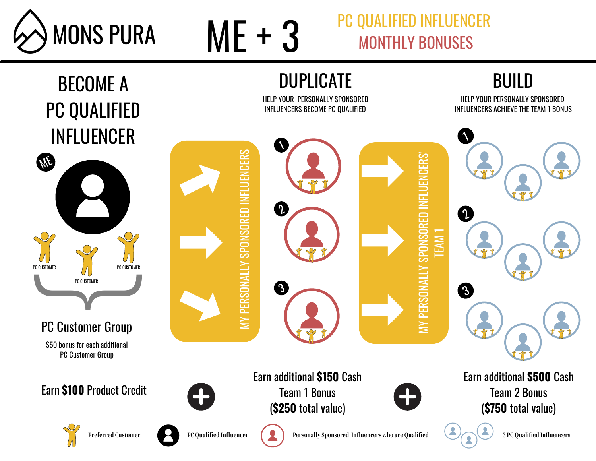



## PC QUALIFIED INFLUENCER MONTHLY BONUSES